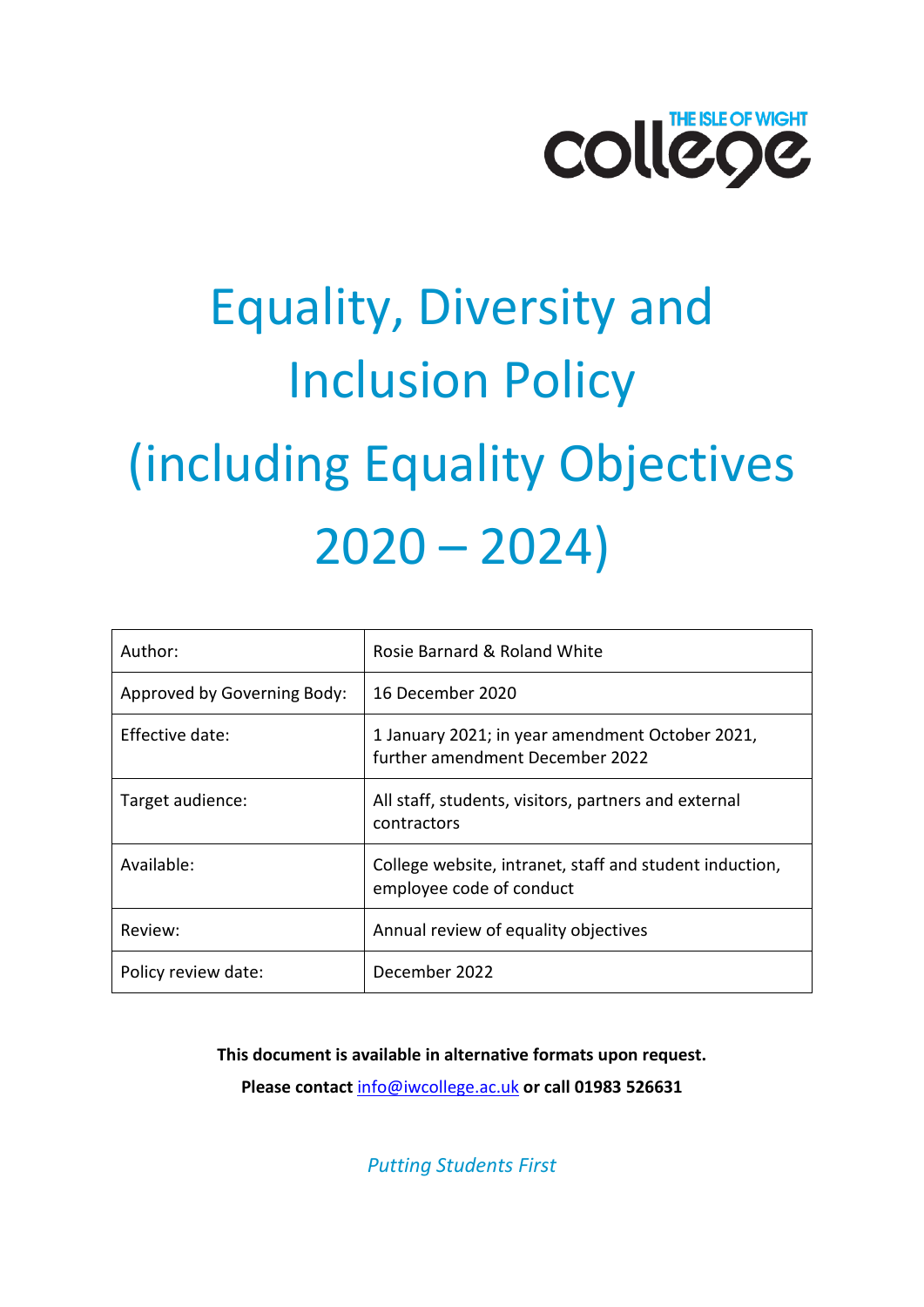

# Equality, Diversity and Inclusion Policy (including Equality Objectives  $2020 - 2024$

| Author:                     | Rosie Barnard & Roland White                                                        |
|-----------------------------|-------------------------------------------------------------------------------------|
| Approved by Governing Body: | 16 December 2020                                                                    |
| Effective date:             | 1 January 2021; in year amendment October 2021,<br>further amendment December 2022  |
| Target audience:            | All staff, students, visitors, partners and external<br>contractors                 |
| Available:                  | College website, intranet, staff and student induction,<br>employee code of conduct |
| Review:                     | Annual review of equality objectives                                                |
| Policy review date:         | December 2022                                                                       |

**This document is available in alternative formats upon request.** 

**Please contact** [info@iwcollege.ac.uk](mailto:info@iwcollege.ac.uk) **or call 01983 526631**

*Putting Students First*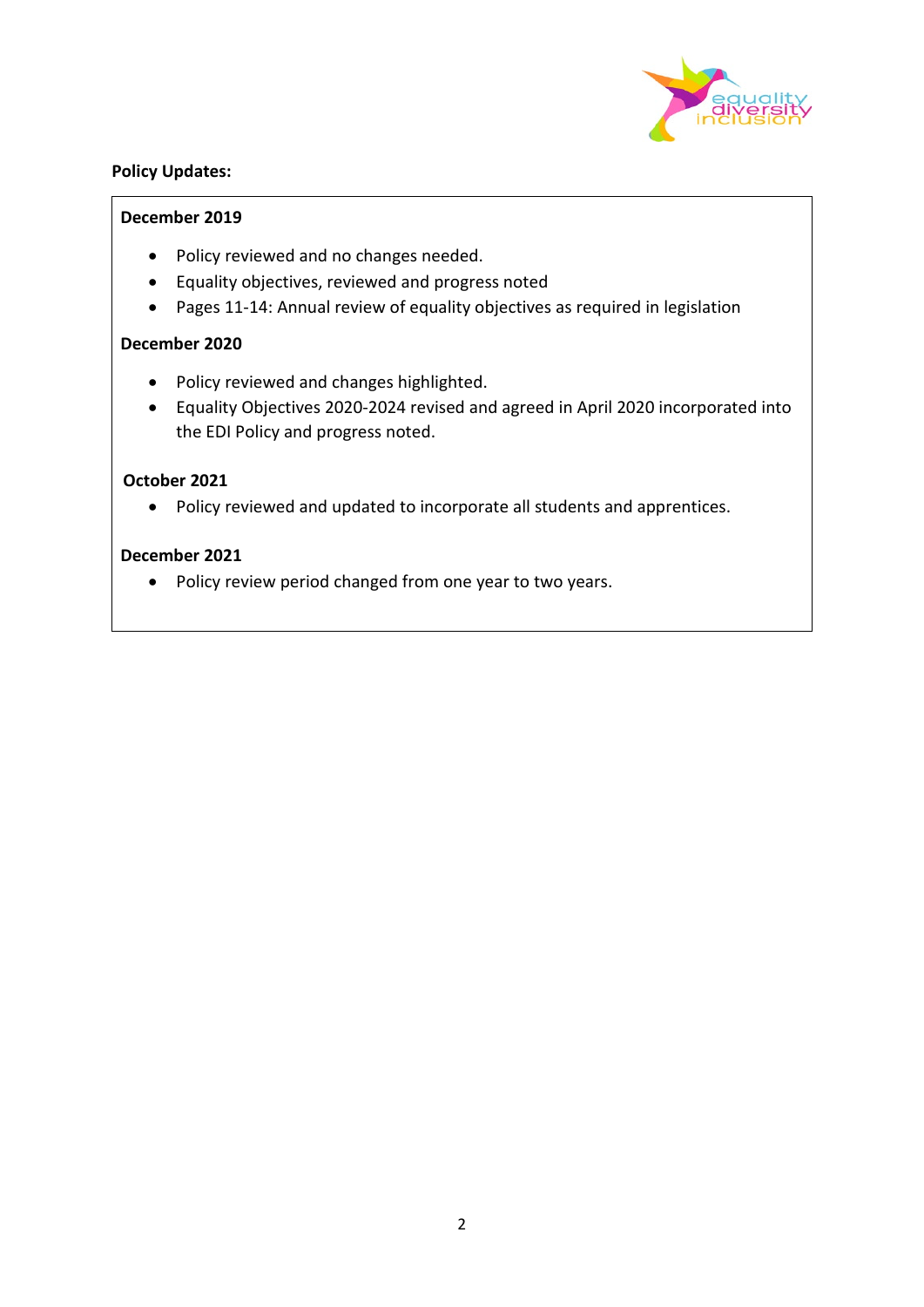

#### **Policy Updates:**

#### **December 2019**

- Policy reviewed and no changes needed.
- Equality objectives, reviewed and progress noted
- Pages 11-14: Annual review of equality objectives as required in legislation

#### **December 2020**

- Policy reviewed and changes highlighted.
- Equality Objectives 2020-2024 revised and agreed in April 2020 incorporated into the EDI Policy and progress noted.

#### **October 2021**

• Policy reviewed and updated to incorporate all students and apprentices.

#### **December 2021**

• Policy review period changed from one year to two years.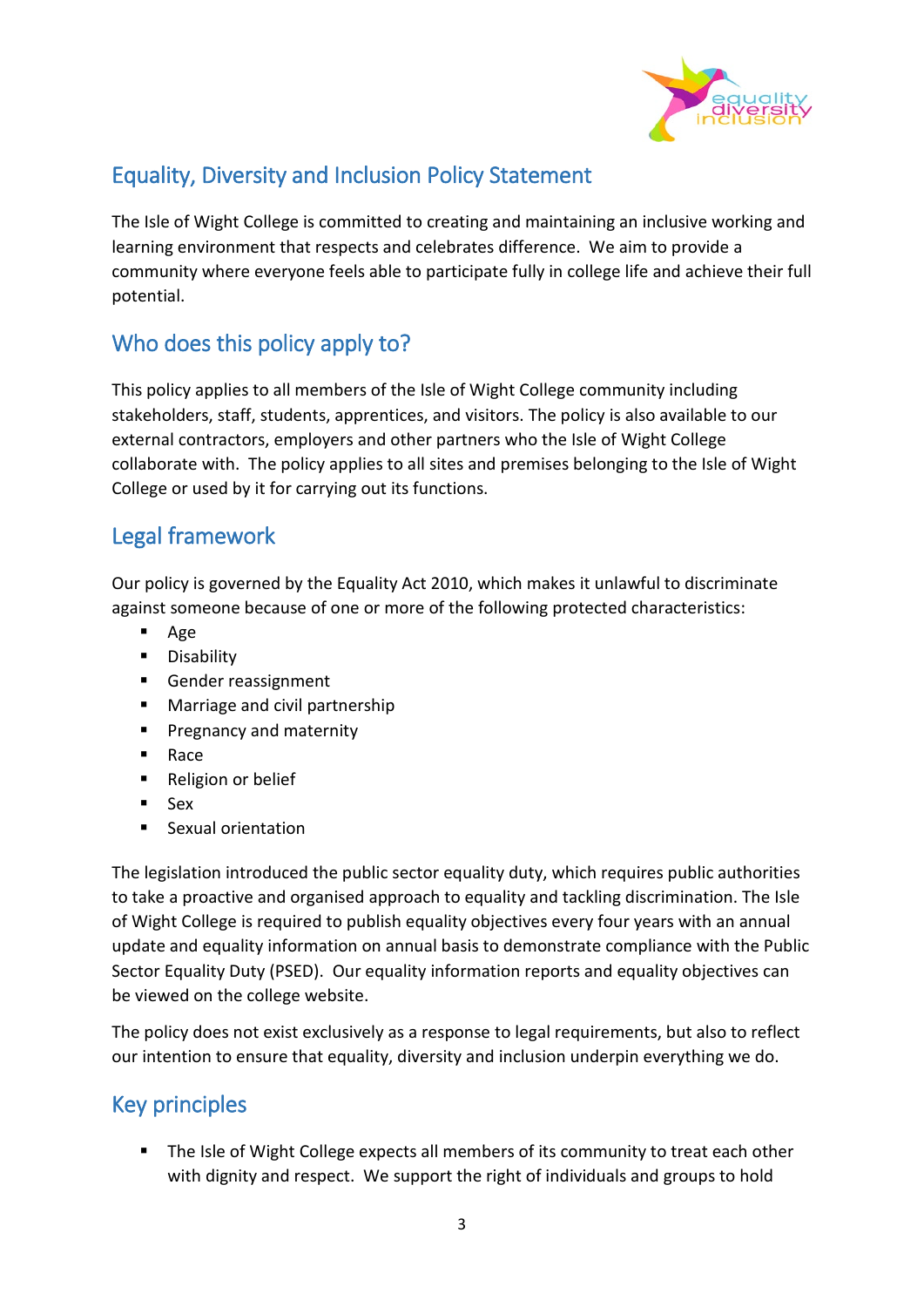

## Equality, Diversity and Inclusion Policy Statement

The Isle of Wight College is committed to creating and maintaining an inclusive working and learning environment that respects and celebrates difference. We aim to provide a community where everyone feels able to participate fully in college life and achieve their full potential.

## Who does this policy apply to?

This policy applies to all members of the Isle of Wight College community including stakeholders, staff, students, apprentices, and visitors. The policy is also available to our external contractors, employers and other partners who the Isle of Wight College collaborate with. The policy applies to all sites and premises belonging to the Isle of Wight College or used by it for carrying out its functions.

## Legal framework

Our policy is governed by the Equality Act 2010, which makes it unlawful to discriminate against someone because of one or more of the following protected characteristics:

- Age
- **Disability**
- Gender reassignment
- **Marriage and civil partnership**
- **Pregnancy and maternity**
- Race
- Religion or belief
- Sex
- Sexual orientation

The legislation introduced the public sector equality duty, which requires public authorities to take a proactive and organised approach to equality and tackling discrimination. The Isle of Wight College is required to publish equality objectives every four years with an annual update and equality information on annual basis to demonstrate compliance with the Public Sector Equality Duty (PSED). Our equality information reports and equality objectives can be viewed on the college website.

The policy does not exist exclusively as a response to legal requirements, but also to reflect our intention to ensure that equality, diversity and inclusion underpin everything we do.

# Key principles

The Isle of Wight College expects all members of its community to treat each other with dignity and respect. We support the right of individuals and groups to hold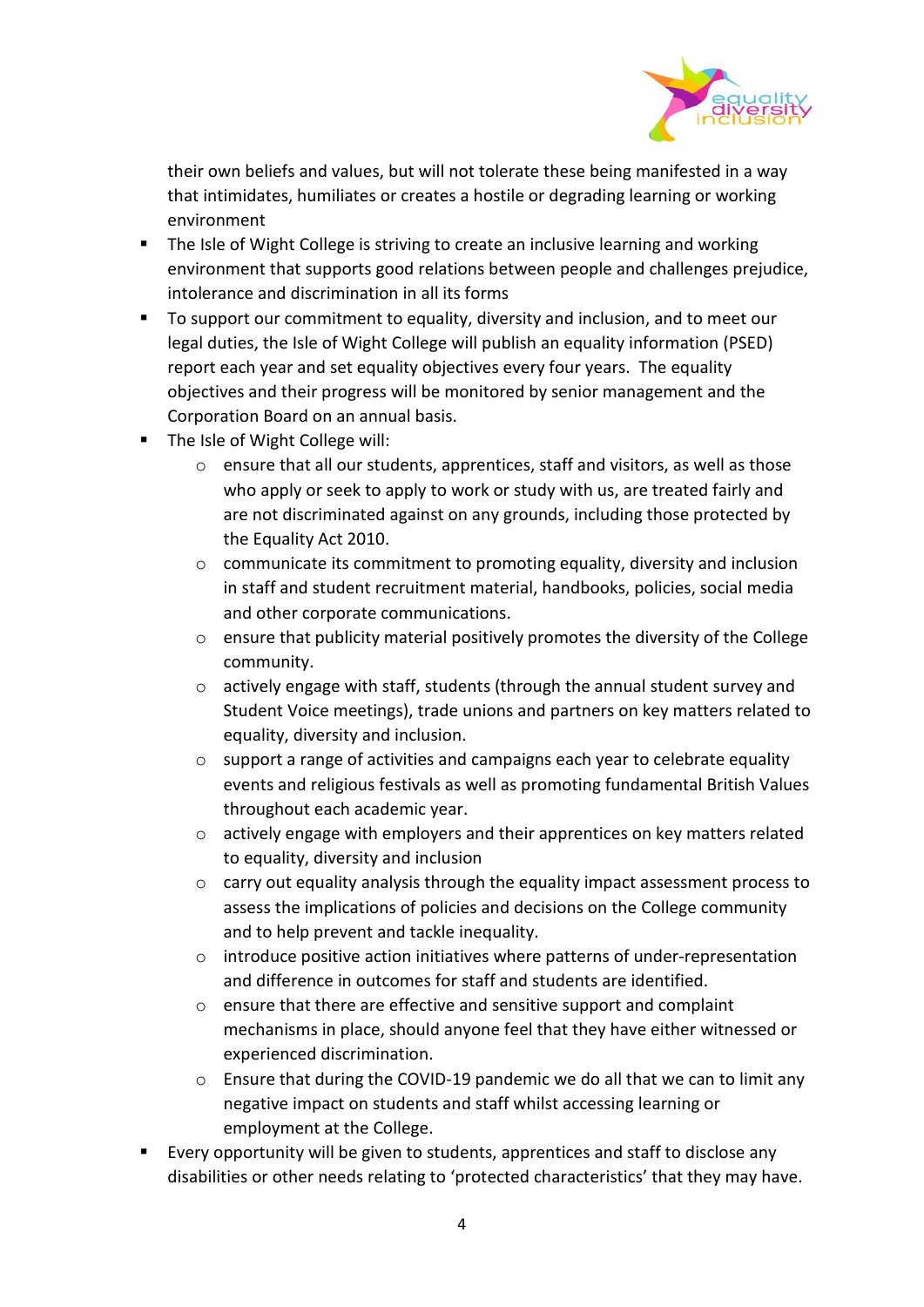

their own beliefs and values, but will not tolerate these being manifested in a way that intimidates, humiliates or creates a hostile or degrading learning or working environment

- **The Isle of Wight College is striving to create an inclusive learning and working** environment that supports good relations between people and challenges prejudice, intolerance and discrimination in all its forms
- To support our commitment to equality, diversity and inclusion, and to meet our legal duties, the Isle of Wight College will publish an equality information (PSED) report each year and set equality objectives every four years. The equality objectives and their progress will be monitored by senior management and the Corporation Board on an annual basis.
- The Isle of Wight College will:
	- o ensure that all our students, apprentices, staff and visitors, as well as those who apply or seek to apply to work or study with us, are treated fairly and are not discriminated against on any grounds, including those protected by the Equality Act 2010.
	- $\circ$  communicate its commitment to promoting equality, diversity and inclusion in staff and student recruitment material, handbooks, policies, social media and other corporate communications.
	- o ensure that publicity material positively promotes the diversity of the College community.
	- o actively engage with staff, students (through the annual student survey and Student Voice meetings), trade unions and partners on key matters related to equality, diversity and inclusion.
	- o support a range of activities and campaigns each year to celebrate equality events and religious festivals as well as promoting fundamental British Values throughout each academic year.
	- $\circ$  actively engage with employers and their apprentices on key matters related to equality, diversity and inclusion
	- $\circ$  carry out equality analysis through the equality impact assessment process to assess the implications of policies and decisions on the College community and to help prevent and tackle inequality.
	- o introduce positive action initiatives where patterns of under-representation and difference in outcomes for staff and students are identified.
	- $\circ$  ensure that there are effective and sensitive support and complaint mechanisms in place, should anyone feel that they have either witnessed or experienced discrimination.
	- $\circ$  Ensure that during the COVID-19 pandemic we do all that we can to limit any negative impact on students and staff whilst accessing learning or employment at the College.
- Every opportunity will be given to students, apprentices and staff to disclose any disabilities or other needs relating to 'protected characteristics' that they may have.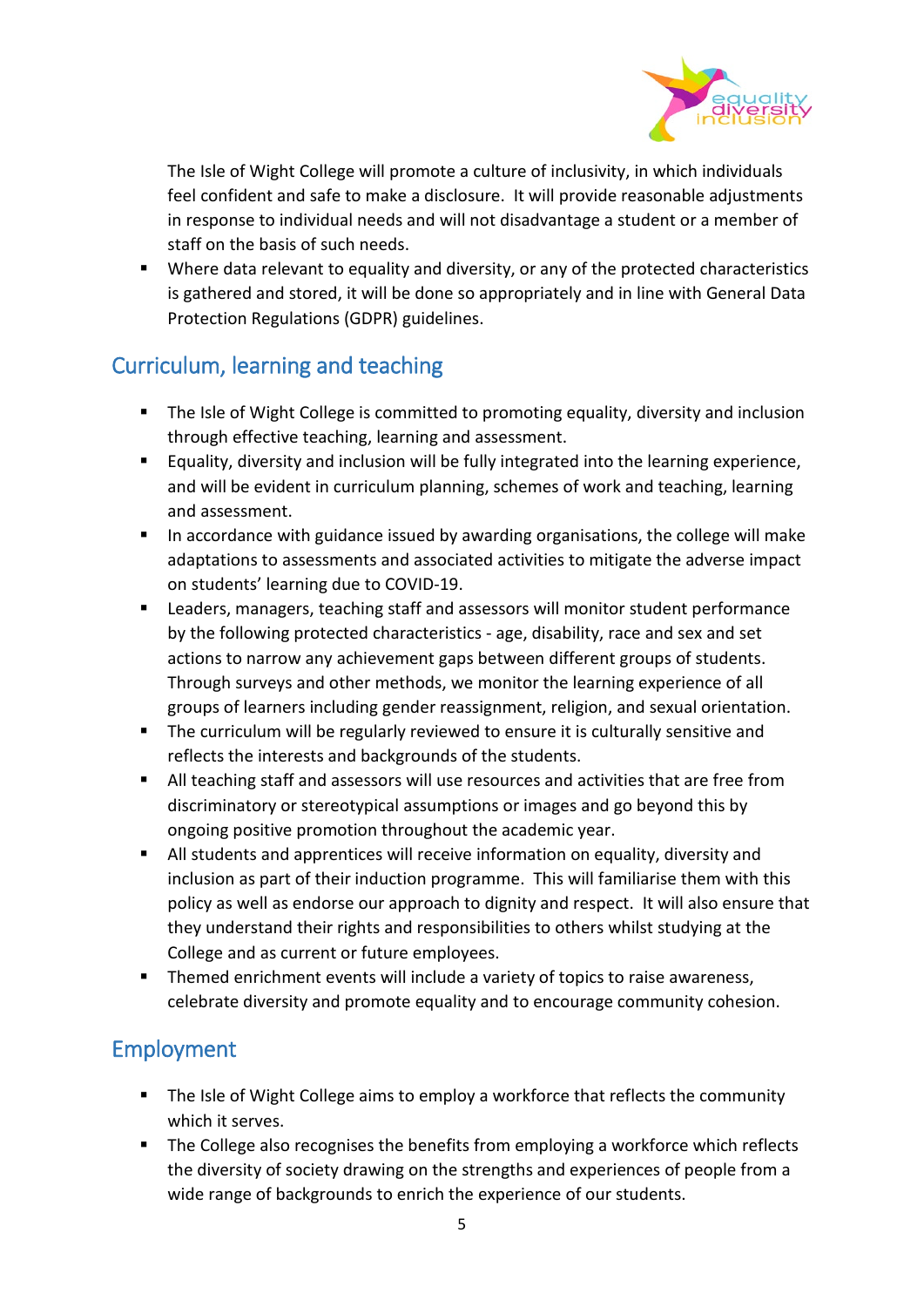

The Isle of Wight College will promote a culture of inclusivity, in which individuals feel confident and safe to make a disclosure. It will provide reasonable adjustments in response to individual needs and will not disadvantage a student or a member of staff on the basis of such needs.

 Where data relevant to equality and diversity, or any of the protected characteristics is gathered and stored, it will be done so appropriately and in line with General Data Protection Regulations (GDPR) guidelines.

## Curriculum, learning and teaching

- **The Isle of Wight College is committed to promoting equality, diversity and inclusion** through effective teaching, learning and assessment.
- Equality, diversity and inclusion will be fully integrated into the learning experience, and will be evident in curriculum planning, schemes of work and teaching, learning and assessment.
- **IF** In accordance with guidance issued by awarding organisations, the college will make adaptations to assessments and associated activities to mitigate the adverse impact on students' learning due to COVID-19.
- Leaders, managers, teaching staff and assessors will monitor student performance by the following protected characteristics - age, disability, race and sex and set actions to narrow any achievement gaps between different groups of students. Through surveys and other methods, we monitor the learning experience of all groups of learners including gender reassignment, religion, and sexual orientation.
- The curriculum will be regularly reviewed to ensure it is culturally sensitive and reflects the interests and backgrounds of the students.
- All teaching staff and assessors will use resources and activities that are free from discriminatory or stereotypical assumptions or images and go beyond this by ongoing positive promotion throughout the academic year.
- All students and apprentices will receive information on equality, diversity and inclusion as part of their induction programme. This will familiarise them with this policy as well as endorse our approach to dignity and respect. It will also ensure that they understand their rights and responsibilities to others whilst studying at the College and as current or future employees.
- Themed enrichment events will include a variety of topics to raise awareness, celebrate diversity and promote equality and to encourage community cohesion.

## Employment

- The Isle of Wight College aims to employ a workforce that reflects the community which it serves.
- The College also recognises the benefits from employing a workforce which reflects the diversity of society drawing on the strengths and experiences of people from a wide range of backgrounds to enrich the experience of our students.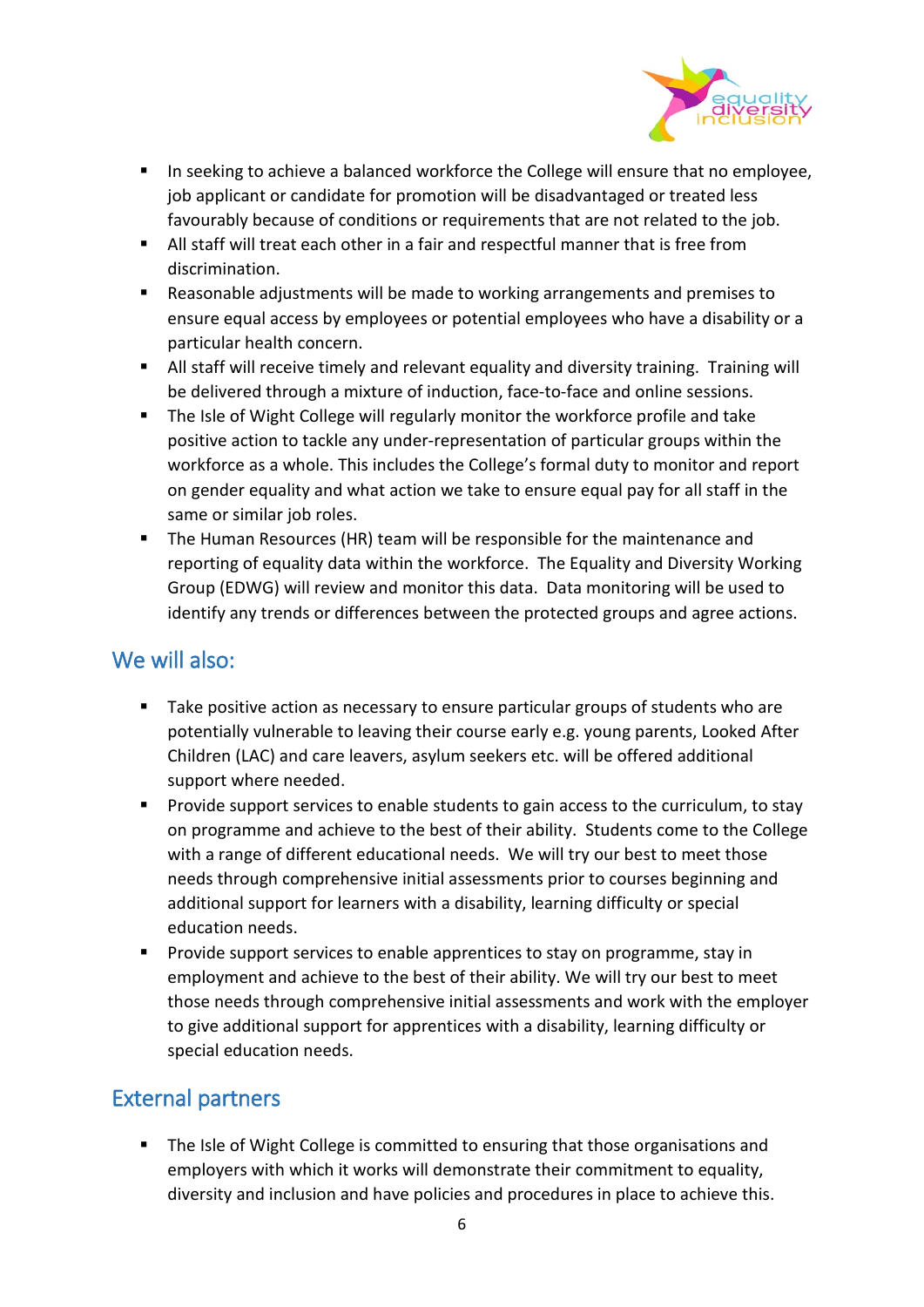

- **IF** In seeking to achieve a balanced workforce the College will ensure that no employee, job applicant or candidate for promotion will be disadvantaged or treated less favourably because of conditions or requirements that are not related to the job.
- All staff will treat each other in a fair and respectful manner that is free from discrimination.
- Reasonable adjustments will be made to working arrangements and premises to ensure equal access by employees or potential employees who have a disability or a particular health concern.
- All staff will receive timely and relevant equality and diversity training. Training will be delivered through a mixture of induction, face-to-face and online sessions.
- The Isle of Wight College will regularly monitor the workforce profile and take positive action to tackle any under-representation of particular groups within the workforce as a whole. This includes the College's formal duty to monitor and report on gender equality and what action we take to ensure equal pay for all staff in the same or similar job roles.
- The Human Resources (HR) team will be responsible for the maintenance and reporting of equality data within the workforce. The Equality and Diversity Working Group (EDWG) will review and monitor this data. Data monitoring will be used to identify any trends or differences between the protected groups and agree actions.

## We will also:

- Take positive action as necessary to ensure particular groups of students who are potentially vulnerable to leaving their course early e.g. young parents, Looked After Children (LAC) and care leavers, asylum seekers etc. will be offered additional support where needed.
- **Provide support services to enable students to gain access to the curriculum, to stay** on programme and achieve to the best of their ability. Students come to the College with a range of different educational needs. We will try our best to meet those needs through comprehensive initial assessments prior to courses beginning and additional support for learners with a disability, learning difficulty or special education needs.
- **Provide support services to enable apprentices to stay on programme, stay in** employment and achieve to the best of their ability. We will try our best to meet those needs through comprehensive initial assessments and work with the employer to give additional support for apprentices with a disability, learning difficulty or special education needs.

## External partners

 The Isle of Wight College is committed to ensuring that those organisations and employers with which it works will demonstrate their commitment to equality, diversity and inclusion and have policies and procedures in place to achieve this.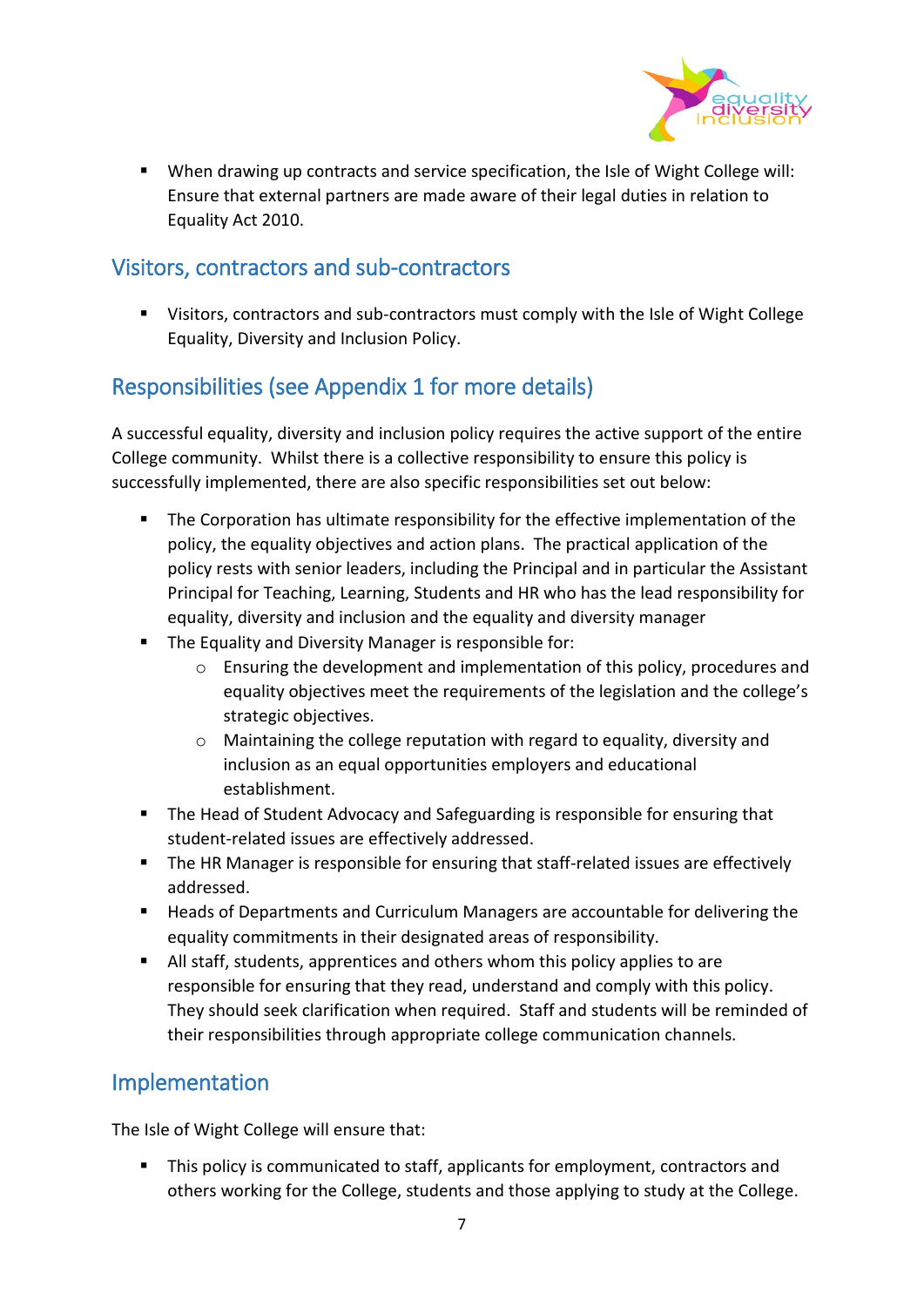

 When drawing up contracts and service specification, the Isle of Wight College will: Ensure that external partners are made aware of their legal duties in relation to Equality Act 2010.

## Visitors, contractors and sub-contractors

 Visitors, contractors and sub-contractors must comply with the Isle of Wight College Equality, Diversity and Inclusion Policy.

## Responsibilities (see Appendix 1 for more details)

A successful equality, diversity and inclusion policy requires the active support of the entire College community. Whilst there is a collective responsibility to ensure this policy is successfully implemented, there are also specific responsibilities set out below:

- The Corporation has ultimate responsibility for the effective implementation of the policy, the equality objectives and action plans. The practical application of the policy rests with senior leaders, including the Principal and in particular the Assistant Principal for Teaching, Learning, Students and HR who has the lead responsibility for equality, diversity and inclusion and the equality and diversity manager
- **The Equality and Diversity Manager is responsible for:** 
	- o Ensuring the development and implementation of this policy, procedures and equality objectives meet the requirements of the legislation and the college's strategic objectives.
	- $\circ$  Maintaining the college reputation with regard to equality, diversity and inclusion as an equal opportunities employers and educational establishment.
- **The Head of Student Advocacy and Safeguarding is responsible for ensuring that** student-related issues are effectively addressed.
- **The HR Manager is responsible for ensuring that staff-related issues are effectively** addressed.
- Heads of Departments and Curriculum Managers are accountable for delivering the equality commitments in their designated areas of responsibility.
- All staff, students, apprentices and others whom this policy applies to are responsible for ensuring that they read, understand and comply with this policy. They should seek clarification when required. Staff and students will be reminded of their responsibilities through appropriate college communication channels.

## Implementation

The Isle of Wight College will ensure that:

**This policy is communicated to staff, applicants for employment, contractors and** others working for the College, students and those applying to study at the College.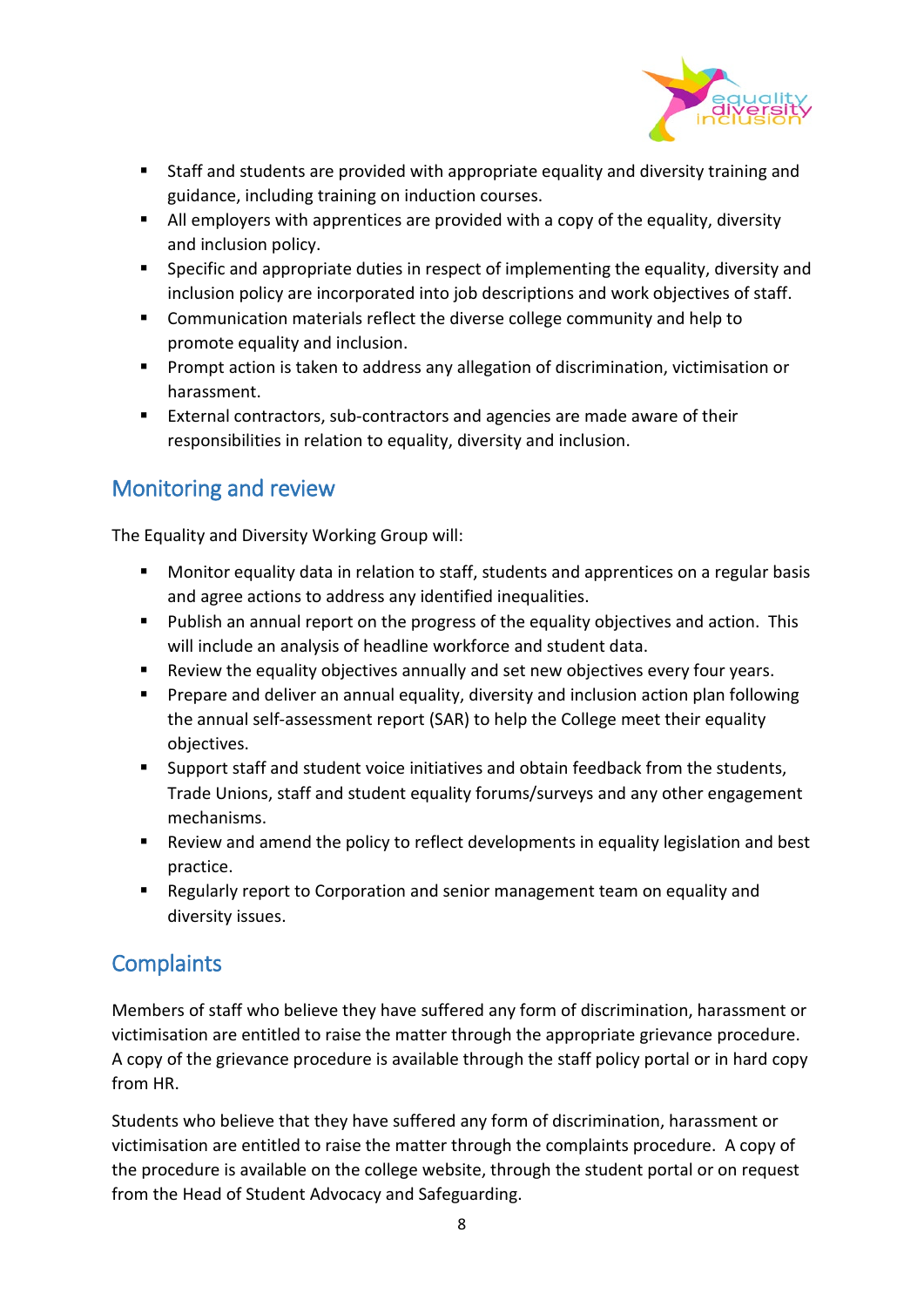

- Staff and students are provided with appropriate equality and diversity training and guidance, including training on induction courses.
- All employers with apprentices are provided with a copy of the equality, diversity and inclusion policy.
- **Specific and appropriate duties in respect of implementing the equality, diversity and** inclusion policy are incorporated into job descriptions and work objectives of staff.
- Communication materials reflect the diverse college community and help to promote equality and inclusion.
- **Prompt action is taken to address any allegation of discrimination, victimisation or** harassment.
- External contractors, sub-contractors and agencies are made aware of their responsibilities in relation to equality, diversity and inclusion.

## Monitoring and review

The Equality and Diversity Working Group will:

- **Monitor equality data in relation to staff, students and apprentices on a regular basis** and agree actions to address any identified inequalities.
- Publish an annual report on the progress of the equality objectives and action. This will include an analysis of headline workforce and student data.
- Review the equality objectives annually and set new objectives every four years.
- **Prepare and deliver an annual equality, diversity and inclusion action plan following** the annual self-assessment report (SAR) to help the College meet their equality objectives.
- Support staff and student voice initiatives and obtain feedback from the students, Trade Unions, staff and student equality forums/surveys and any other engagement mechanisms.
- Review and amend the policy to reflect developments in equality legislation and best practice.
- Regularly report to Corporation and senior management team on equality and diversity issues.

## **Complaints**

Members of staff who believe they have suffered any form of discrimination, harassment or victimisation are entitled to raise the matter through the appropriate grievance procedure. A copy of the grievance procedure is available through the staff policy portal or in hard copy from HR.

Students who believe that they have suffered any form of discrimination, harassment or victimisation are entitled to raise the matter through the complaints procedure. A copy of the procedure is available on the college website, through the student portal or on request from the Head of Student Advocacy and Safeguarding.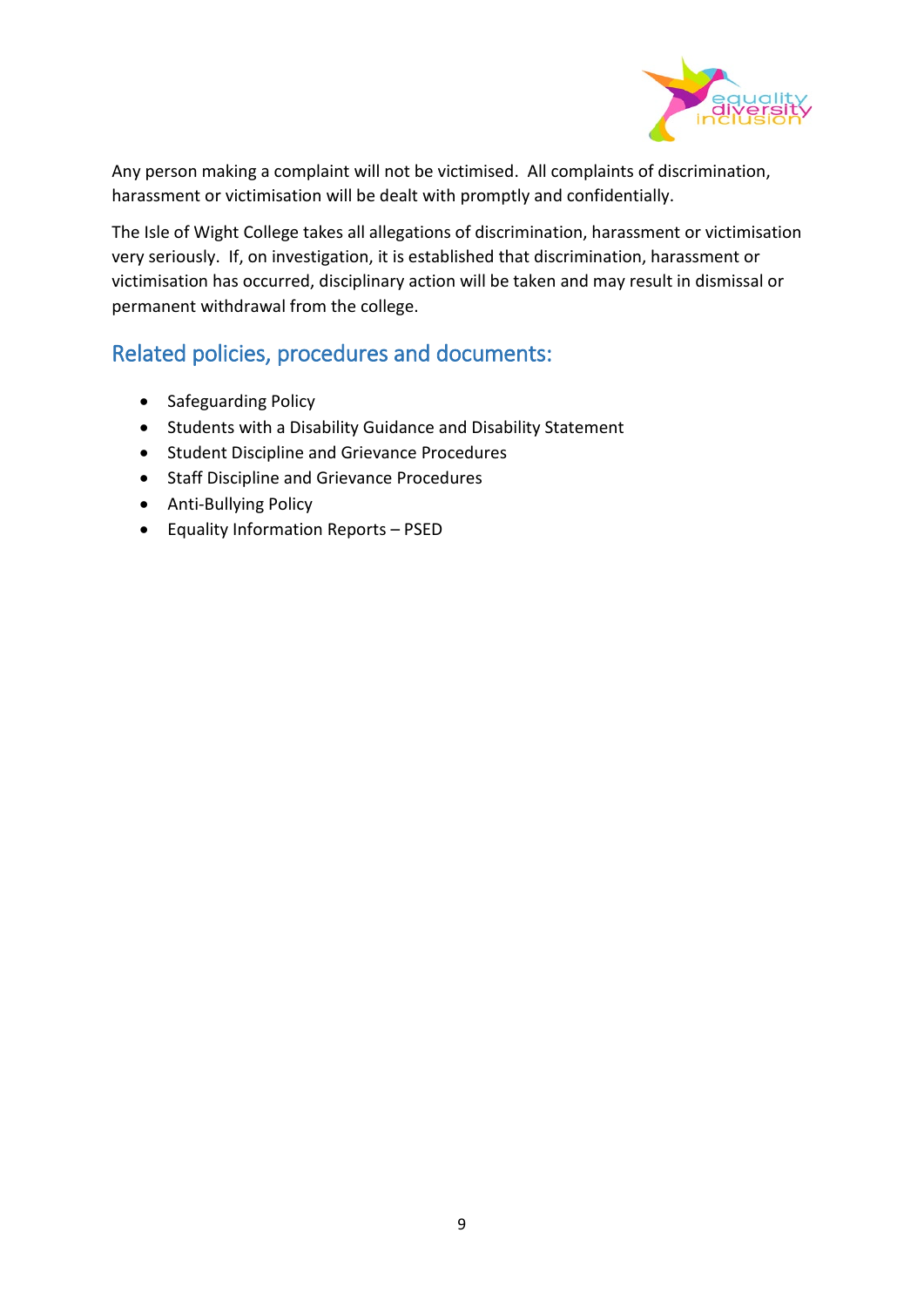

Any person making a complaint will not be victimised. All complaints of discrimination, harassment or victimisation will be dealt with promptly and confidentially.

The Isle of Wight College takes all allegations of discrimination, harassment or victimisation very seriously. If, on investigation, it is established that discrimination, harassment or victimisation has occurred, disciplinary action will be taken and may result in dismissal or permanent withdrawal from the college.

## Related policies, procedures and documents:

- Safeguarding Policy
- Students with a Disability Guidance and Disability Statement
- Student Discipline and Grievance Procedures
- Staff Discipline and Grievance Procedures
- Anti-Bullying Policy
- Equality Information Reports PSED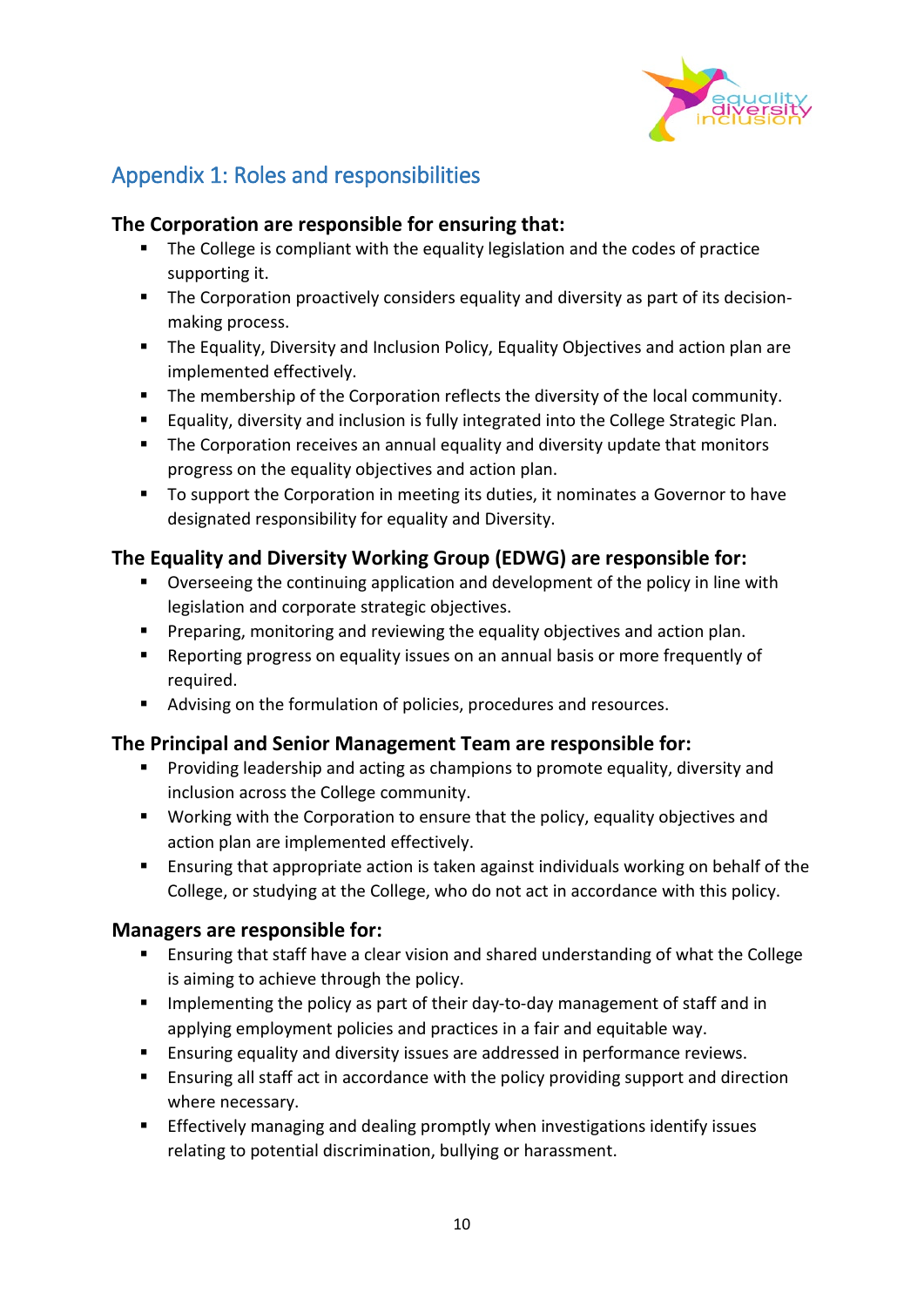

## Appendix 1: Roles and responsibilities

### **The Corporation are responsible for ensuring that:**

- **The College is compliant with the equality legislation and the codes of practice** supporting it.
- **The Corporation proactively considers equality and diversity as part of its decision**making process.
- **The Equality, Diversity and Inclusion Policy, Equality Objectives and action plan are** implemented effectively.
- **The membership of the Corporation reflects the diversity of the local community.**
- Equality, diversity and inclusion is fully integrated into the College Strategic Plan.
- **The Corporation receives an annual equality and diversity update that monitors** progress on the equality objectives and action plan.
- To support the Corporation in meeting its duties, it nominates a Governor to have designated responsibility for equality and Diversity.

## **The Equality and Diversity Working Group (EDWG) are responsible for:**

- Overseeing the continuing application and development of the policy in line with legislation and corporate strategic objectives.
- **Preparing, monitoring and reviewing the equality objectives and action plan.**
- Reporting progress on equality issues on an annual basis or more frequently of required.
- Advising on the formulation of policies, procedures and resources.

#### **The Principal and Senior Management Team are responsible for:**

- **Providing leadership and acting as champions to promote equality, diversity and** inclusion across the College community.
- **Working with the Corporation to ensure that the policy, equality objectives and** action plan are implemented effectively.
- **Ensuring that appropriate action is taken against individuals working on behalf of the** College, or studying at the College, who do not act in accordance with this policy.

#### **Managers are responsible for:**

- Ensuring that staff have a clear vision and shared understanding of what the College is aiming to achieve through the policy.
- **IMPLEM** Implementing the policy as part of their day-to-day management of staff and in applying employment policies and practices in a fair and equitable way.
- **Ensuring equality and diversity issues are addressed in performance reviews.**
- **Ensuring all staff act in accordance with the policy providing support and direction** where necessary.
- Effectively managing and dealing promptly when investigations identify issues relating to potential discrimination, bullying or harassment.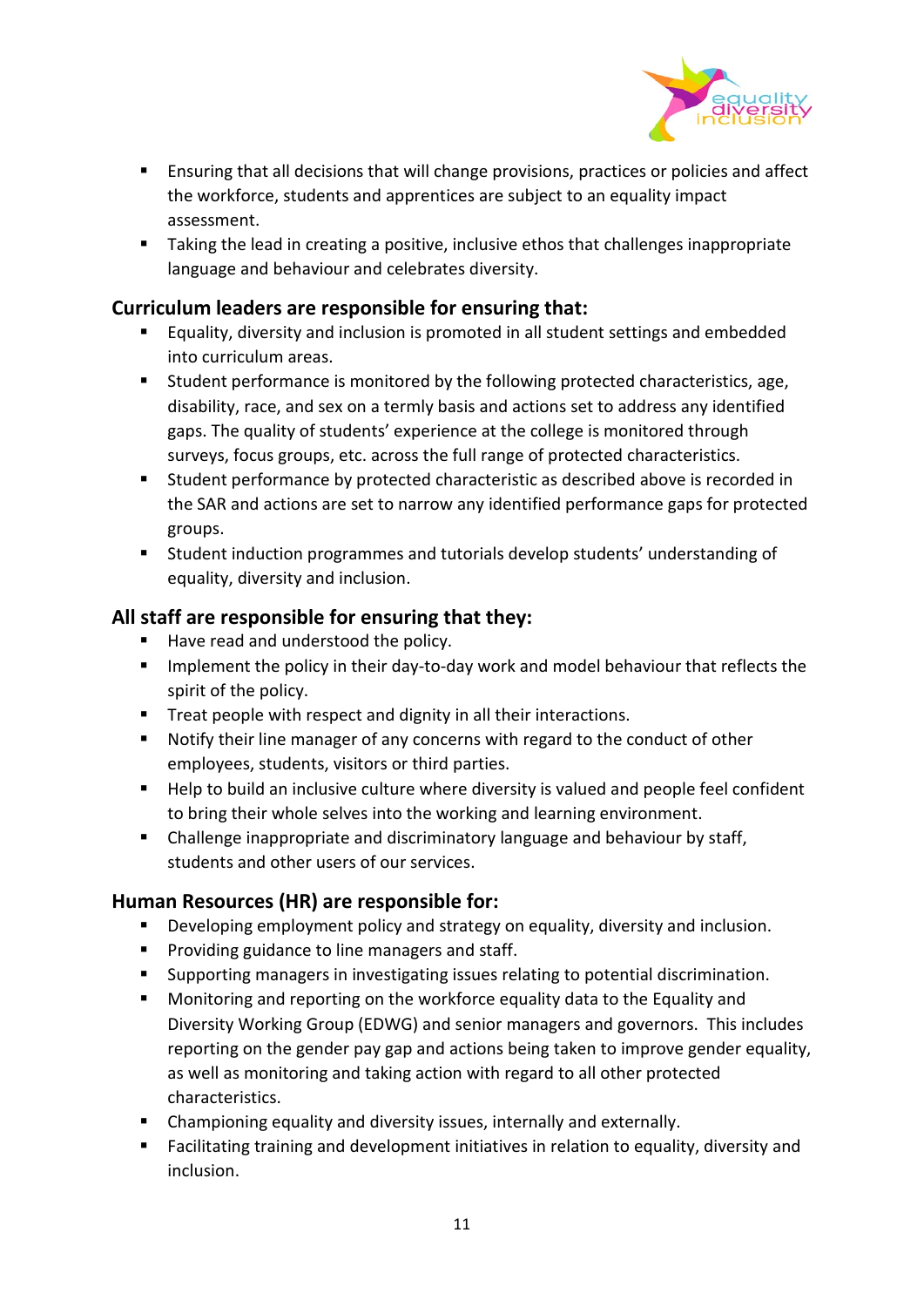

- **Ensuring that all decisions that will change provisions, practices or policies and affect** the workforce, students and apprentices are subject to an equality impact assessment.
- Taking the lead in creating a positive, inclusive ethos that challenges inappropriate language and behaviour and celebrates diversity.

#### **Curriculum leaders are responsible for ensuring that:**

- **Equality, diversity and inclusion is promoted in all student settings and embedded** into curriculum areas.
- **Student performance is monitored by the following protected characteristics, age,** disability, race, and sex on a termly basis and actions set to address any identified gaps. The quality of students' experience at the college is monitored through surveys, focus groups, etc. across the full range of protected characteristics.
- **EXTER** Student performance by protected characteristic as described above is recorded in the SAR and actions are set to narrow any identified performance gaps for protected groups.
- Student induction programmes and tutorials develop students' understanding of equality, diversity and inclusion.

### **All staff are responsible for ensuring that they:**

- Have read and understood the policy.
- **IMPLEMENT IMPLEMENT IN THE UPS IN THE UPS IN THE POLICE THE UPS IN THE INCOCOLLY THE UPS IN THE UPS IN THE UPS** spirit of the policy.
- **Treat people with respect and dignity in all their interactions.**
- Notify their line manager of any concerns with regard to the conduct of other employees, students, visitors or third parties.
- Help to build an inclusive culture where diversity is valued and people feel confident to bring their whole selves into the working and learning environment.
- Challenge inappropriate and discriminatory language and behaviour by staff, students and other users of our services.

#### **Human Resources (HR) are responsible for:**

- **Developing employment policy and strategy on equality, diversity and inclusion.**
- **Providing guidance to line managers and staff.**
- Supporting managers in investigating issues relating to potential discrimination.
- **Monitoring and reporting on the workforce equality data to the Equality and** Diversity Working Group (EDWG) and senior managers and governors. This includes reporting on the gender pay gap and actions being taken to improve gender equality, as well as monitoring and taking action with regard to all other protected characteristics.
- Championing equality and diversity issues, internally and externally.
- **Facilitating training and development initiatives in relation to equality, diversity and** inclusion.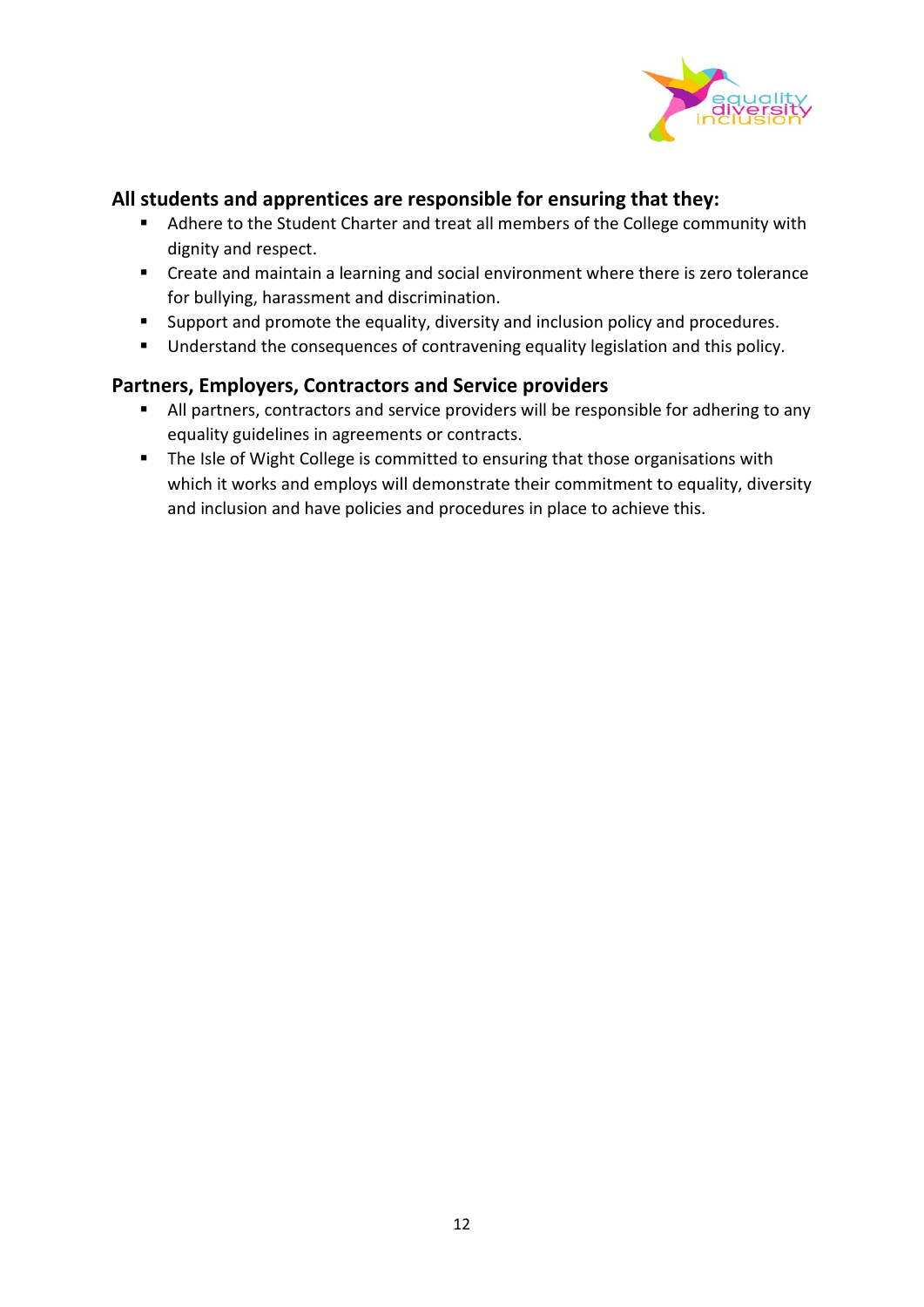

#### **All students and apprentices are responsible for ensuring that they:**

- Adhere to the Student Charter and treat all members of the College community with dignity and respect.
- Create and maintain a learning and social environment where there is zero tolerance for bullying, harassment and discrimination.
- **Support and promote the equality, diversity and inclusion policy and procedures.**
- Understand the consequences of contravening equality legislation and this policy.

#### **Partners, Employers, Contractors and Service providers**

- All partners, contractors and service providers will be responsible for adhering to any equality guidelines in agreements or contracts.
- **The Isle of Wight College is committed to ensuring that those organisations with** which it works and employs will demonstrate their commitment to equality, diversity and inclusion and have policies and procedures in place to achieve this.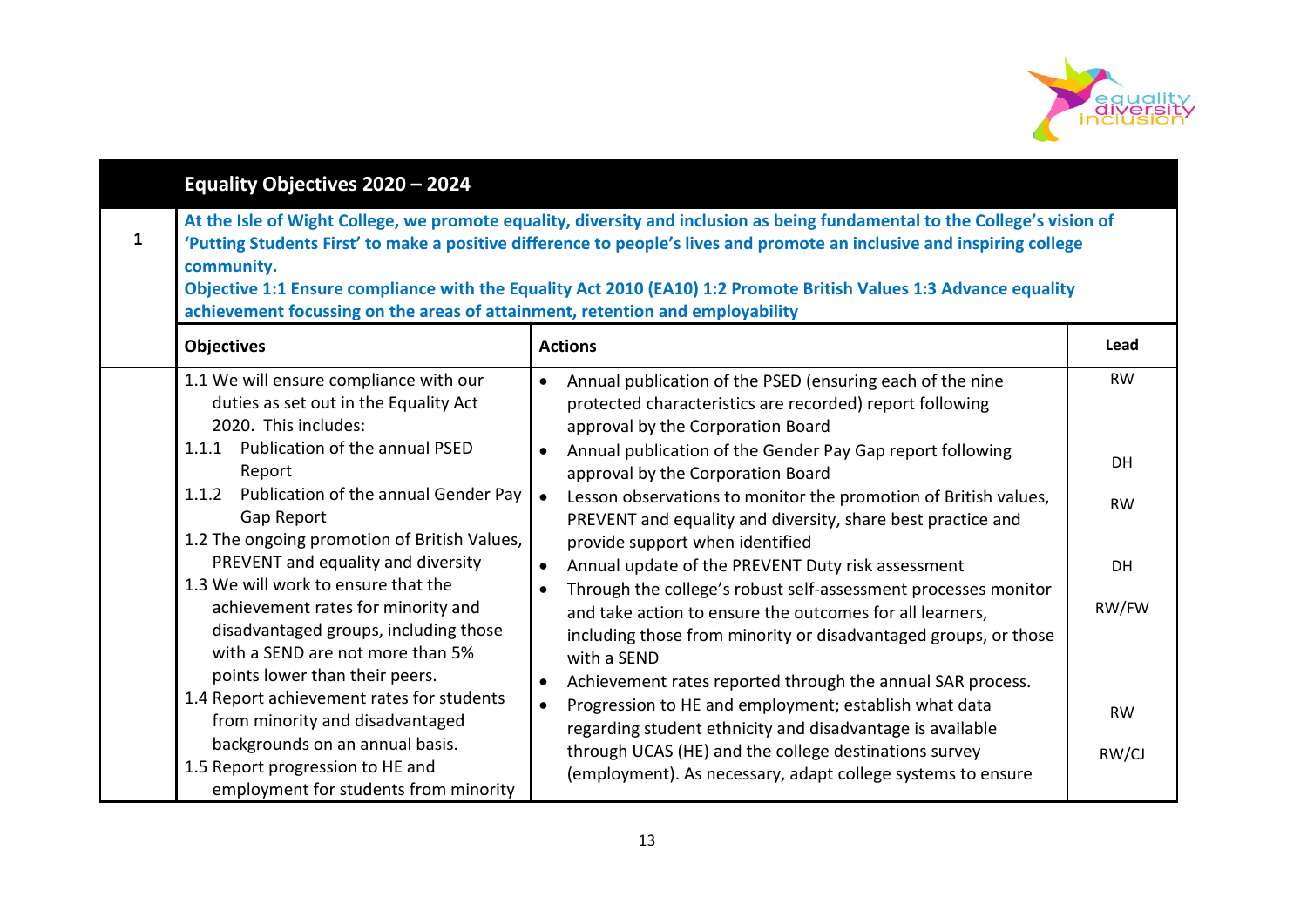

| Equality Objectives 2020 - 2024                                                                                                                                                                                                                                                                                                                                                                                                                                                                                                                                                                                                                                                                            |                                                                                                                                                                                                                                                                                                                                                                                                                                                                                                                                                                                                                                                                                                                                                                                                                                                                                                                                                                                                                                                                                     |                                                                   |  |  |  |
|------------------------------------------------------------------------------------------------------------------------------------------------------------------------------------------------------------------------------------------------------------------------------------------------------------------------------------------------------------------------------------------------------------------------------------------------------------------------------------------------------------------------------------------------------------------------------------------------------------------------------------------------------------------------------------------------------------|-------------------------------------------------------------------------------------------------------------------------------------------------------------------------------------------------------------------------------------------------------------------------------------------------------------------------------------------------------------------------------------------------------------------------------------------------------------------------------------------------------------------------------------------------------------------------------------------------------------------------------------------------------------------------------------------------------------------------------------------------------------------------------------------------------------------------------------------------------------------------------------------------------------------------------------------------------------------------------------------------------------------------------------------------------------------------------------|-------------------------------------------------------------------|--|--|--|
| 1<br>community.<br><b>Objectives</b>                                                                                                                                                                                                                                                                                                                                                                                                                                                                                                                                                                                                                                                                       | At the Isle of Wight College, we promote equality, diversity and inclusion as being fundamental to the College's vision of<br>'Putting Students First' to make a positive difference to people's lives and promote an inclusive and inspiring college<br>Objective 1:1 Ensure compliance with the Equality Act 2010 (EA10) 1:2 Promote British Values 1:3 Advance equality<br>achievement focussing on the areas of attainment, retention and employability<br><b>Actions</b><br>Lead                                                                                                                                                                                                                                                                                                                                                                                                                                                                                                                                                                                               |                                                                   |  |  |  |
| 1.1 We will ensure compliance with our<br>duties as set out in the Equality Act<br>2020. This includes:<br>1.1.1 Publication of the annual PSED<br>Report<br>Publication of the annual Gender Pay<br>1.1.2<br>Gap Report<br>1.2 The ongoing promotion of British Values,<br>PREVENT and equality and diversity<br>1.3 We will work to ensure that the<br>achievement rates for minority and<br>disadvantaged groups, including those<br>with a SEND are not more than 5%<br>points lower than their peers.<br>1.4 Report achievement rates for students<br>from minority and disadvantaged<br>backgrounds on an annual basis.<br>1.5 Report progression to HE and<br>employment for students from minority | Annual publication of the PSED (ensuring each of the nine<br>$\bullet$<br>protected characteristics are recorded) report following<br>approval by the Corporation Board<br>Annual publication of the Gender Pay Gap report following<br>$\bullet$<br>approval by the Corporation Board<br>Lesson observations to monitor the promotion of British values,<br>PREVENT and equality and diversity, share best practice and<br>provide support when identified<br>Annual update of the PREVENT Duty risk assessment<br>$\bullet$<br>Through the college's robust self-assessment processes monitor<br>and take action to ensure the outcomes for all learners,<br>including those from minority or disadvantaged groups, or those<br>with a SEND<br>Achievement rates reported through the annual SAR process.<br>$\bullet$<br>Progression to HE and employment; establish what data<br>$\bullet$<br>regarding student ethnicity and disadvantage is available<br>through UCAS (HE) and the college destinations survey<br>(employment). As necessary, adapt college systems to ensure | <b>RW</b><br>DH<br><b>RW</b><br>DH<br>RW/FW<br><b>RW</b><br>RW/CJ |  |  |  |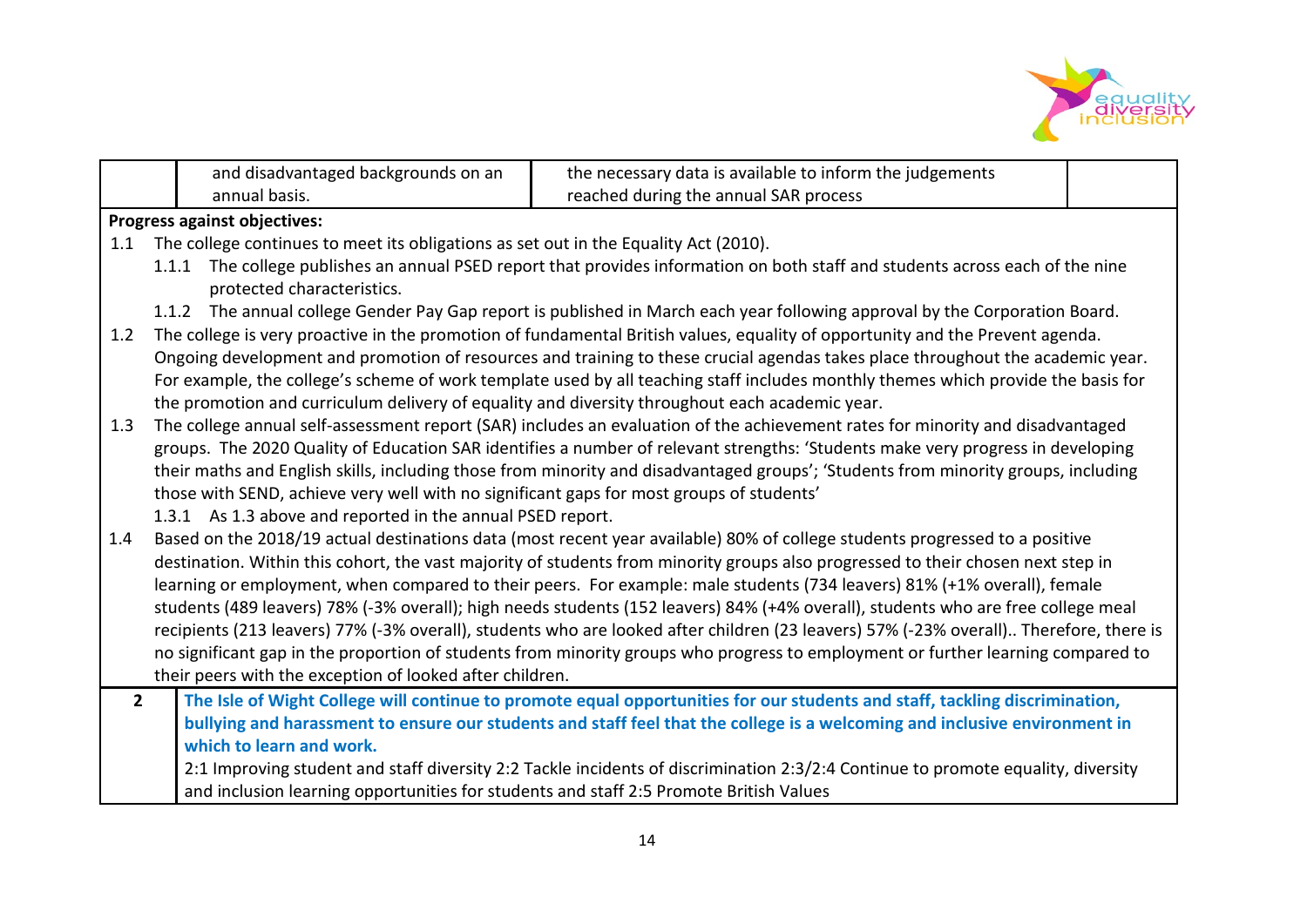

|                                                                                                                                      |                                                                                                                             | and disadvantaged backgrounds on an                                                                                                                          | the necessary data is available to inform the judgements                                                                           |  |  |  |  |
|--------------------------------------------------------------------------------------------------------------------------------------|-----------------------------------------------------------------------------------------------------------------------------|--------------------------------------------------------------------------------------------------------------------------------------------------------------|------------------------------------------------------------------------------------------------------------------------------------|--|--|--|--|
|                                                                                                                                      |                                                                                                                             | annual basis.                                                                                                                                                | reached during the annual SAR process                                                                                              |  |  |  |  |
|                                                                                                                                      |                                                                                                                             | Progress against objectives:                                                                                                                                 |                                                                                                                                    |  |  |  |  |
| 1.1                                                                                                                                  |                                                                                                                             | The college continues to meet its obligations as set out in the Equality Act (2010).                                                                         |                                                                                                                                    |  |  |  |  |
|                                                                                                                                      |                                                                                                                             | 1.1.1 The college publishes an annual PSED report that provides information on both staff and students across each of the nine<br>protected characteristics. |                                                                                                                                    |  |  |  |  |
|                                                                                                                                      | 1.1.2 The annual college Gender Pay Gap report is published in March each year following approval by the Corporation Board. |                                                                                                                                                              |                                                                                                                                    |  |  |  |  |
| The college is very proactive in the promotion of fundamental British values, equality of opportunity and the Prevent agenda.<br>1.2 |                                                                                                                             |                                                                                                                                                              |                                                                                                                                    |  |  |  |  |
|                                                                                                                                      |                                                                                                                             | Ongoing development and promotion of resources and training to these crucial agendas takes place throughout the academic year.                               |                                                                                                                                    |  |  |  |  |
|                                                                                                                                      |                                                                                                                             | For example, the college's scheme of work template used by all teaching staff includes monthly themes which provide the basis for                            |                                                                                                                                    |  |  |  |  |
|                                                                                                                                      | the promotion and curriculum delivery of equality and diversity throughout each academic year.                              |                                                                                                                                                              |                                                                                                                                    |  |  |  |  |
| 1.3                                                                                                                                  |                                                                                                                             |                                                                                                                                                              | The college annual self-assessment report (SAR) includes an evaluation of the achievement rates for minority and disadvantaged     |  |  |  |  |
|                                                                                                                                      |                                                                                                                             |                                                                                                                                                              | groups. The 2020 Quality of Education SAR identifies a number of relevant strengths: 'Students make very progress in developing    |  |  |  |  |
|                                                                                                                                      |                                                                                                                             |                                                                                                                                                              | their maths and English skills, including those from minority and disadvantaged groups'; 'Students from minority groups, including |  |  |  |  |
|                                                                                                                                      |                                                                                                                             | those with SEND, achieve very well with no significant gaps for most groups of students'                                                                     |                                                                                                                                    |  |  |  |  |
|                                                                                                                                      | 1.3.1 As 1.3 above and reported in the annual PSED report.                                                                  |                                                                                                                                                              |                                                                                                                                    |  |  |  |  |
| 1.4                                                                                                                                  |                                                                                                                             |                                                                                                                                                              | Based on the 2018/19 actual destinations data (most recent year available) 80% of college students progressed to a positive        |  |  |  |  |
|                                                                                                                                      |                                                                                                                             |                                                                                                                                                              | destination. Within this cohort, the vast majority of students from minority groups also progressed to their chosen next step in   |  |  |  |  |
|                                                                                                                                      | learning or employment, when compared to their peers. For example: male students (734 leavers) 81% (+1% overall), female    |                                                                                                                                                              |                                                                                                                                    |  |  |  |  |
|                                                                                                                                      |                                                                                                                             | students (489 leavers) 78% (-3% overall); high needs students (152 leavers) 84% (+4% overall), students who are free college meal                            |                                                                                                                                    |  |  |  |  |
|                                                                                                                                      |                                                                                                                             | recipients (213 leavers) 77% (-3% overall), students who are looked after children (23 leavers) 57% (-23% overall) Therefore, there is                       |                                                                                                                                    |  |  |  |  |
|                                                                                                                                      |                                                                                                                             |                                                                                                                                                              | no significant gap in the proportion of students from minority groups who progress to employment or further learning compared to   |  |  |  |  |
|                                                                                                                                      | their peers with the exception of looked after children.                                                                    |                                                                                                                                                              |                                                                                                                                    |  |  |  |  |
| $2^{\circ}$                                                                                                                          |                                                                                                                             |                                                                                                                                                              | The Isle of Wight College will continue to promote equal opportunities for our students and staff, tackling discrimination,        |  |  |  |  |
|                                                                                                                                      |                                                                                                                             |                                                                                                                                                              | bullying and harassment to ensure our students and staff feel that the college is a welcoming and inclusive environment in         |  |  |  |  |
|                                                                                                                                      |                                                                                                                             | which to learn and work.                                                                                                                                     |                                                                                                                                    |  |  |  |  |
|                                                                                                                                      |                                                                                                                             |                                                                                                                                                              | 2:1 Improving student and staff diversity 2:2 Tackle incidents of discrimination 2:3/2:4 Continue to promote equality, diversity   |  |  |  |  |
|                                                                                                                                      |                                                                                                                             | and inclusion learning opportunities for students and staff 2:5 Promote British Values                                                                       |                                                                                                                                    |  |  |  |  |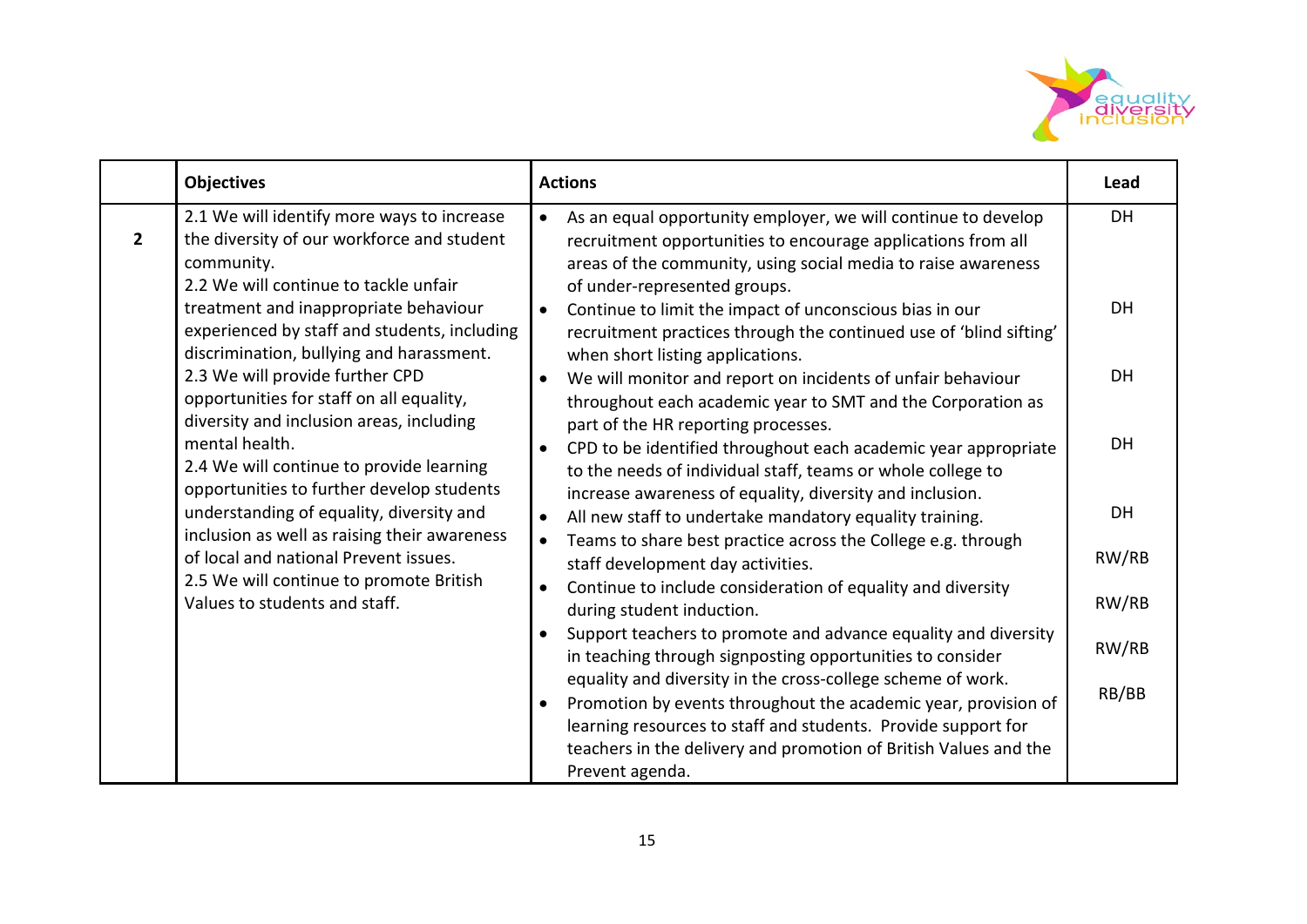

|                | <b>Objectives</b>                                                                                                                               | <b>Actions</b>                                                                                                                                                                                                                      | Lead      |
|----------------|-------------------------------------------------------------------------------------------------------------------------------------------------|-------------------------------------------------------------------------------------------------------------------------------------------------------------------------------------------------------------------------------------|-----------|
| $\overline{2}$ | 2.1 We will identify more ways to increase<br>the diversity of our workforce and student<br>community.<br>2.2 We will continue to tackle unfair | As an equal opportunity employer, we will continue to develop<br>recruitment opportunities to encourage applications from all<br>areas of the community, using social media to raise awareness<br>of under-represented groups.      | <b>DH</b> |
|                | treatment and inappropriate behaviour<br>experienced by staff and students, including<br>discrimination, bullying and harassment.               | Continue to limit the impact of unconscious bias in our<br>recruitment practices through the continued use of 'blind sifting'<br>when short listing applications.                                                                   | DH        |
|                | 2.3 We will provide further CPD<br>opportunities for staff on all equality,<br>diversity and inclusion areas, including                         | We will monitor and report on incidents of unfair behaviour<br>$\bullet$<br>throughout each academic year to SMT and the Corporation as<br>part of the HR reporting processes.                                                      | <b>DH</b> |
|                | mental health.<br>2.4 We will continue to provide learning<br>opportunities to further develop students                                         | CPD to be identified throughout each academic year appropriate<br>to the needs of individual staff, teams or whole college to<br>increase awareness of equality, diversity and inclusion.                                           | <b>DH</b> |
|                | understanding of equality, diversity and                                                                                                        | All new staff to undertake mandatory equality training.                                                                                                                                                                             | DH        |
|                | inclusion as well as raising their awareness<br>of local and national Prevent issues.<br>2.5 We will continue to promote British                | Teams to share best practice across the College e.g. through<br>$\bullet$<br>staff development day activities.                                                                                                                      | RW/RB     |
|                | Values to students and staff.                                                                                                                   | Continue to include consideration of equality and diversity<br>$\bullet$<br>during student induction.                                                                                                                               | RW/RB     |
|                |                                                                                                                                                 | Support teachers to promote and advance equality and diversity<br>in teaching through signposting opportunities to consider<br>equality and diversity in the cross-college scheme of work.                                          | RW/RB     |
|                |                                                                                                                                                 | Promotion by events throughout the academic year, provision of<br>$\bullet$<br>learning resources to staff and students. Provide support for<br>teachers in the delivery and promotion of British Values and the<br>Prevent agenda. | RB/BB     |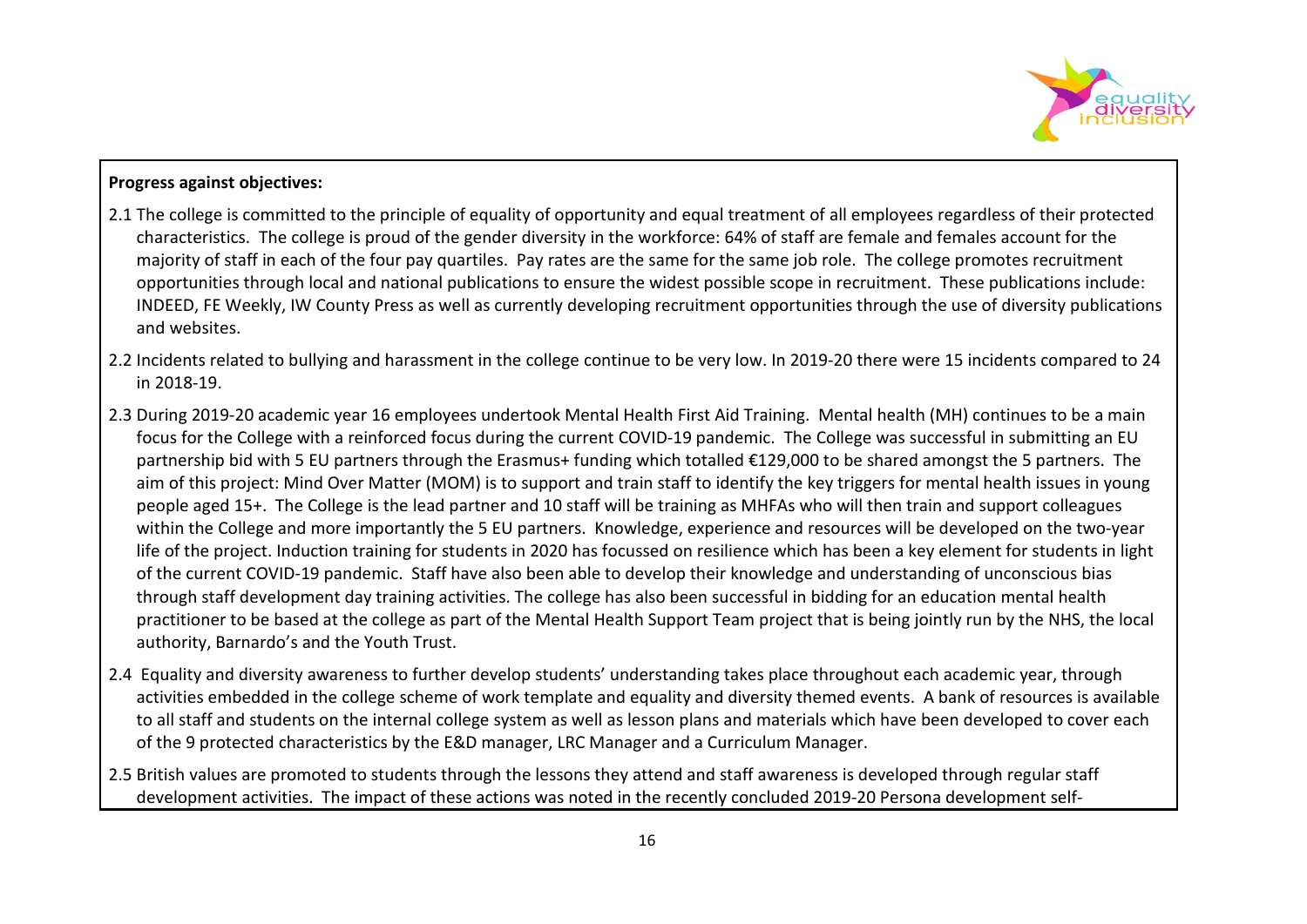

#### **Progress against objectives:**

- 2.1 The college is committed to the principle of equality of opportunity and equal treatment of all employees regardless of their protected characteristics. The college is proud of the gender diversity in the workforce: 64% of staff are female and females account for the majority of staff in each of the four pay quartiles. Pay rates are the same for the same job role. The college promotes recruitment opportunities through local and national publications to ensure the widest possible scope in recruitment. These publications include: INDEED, FE Weekly, IW County Press as well as currently developing recruitment opportunities through the use of diversity publications and websites.
- 2.2 Incidents related to bullying and harassment in the college continue to be very low. In 2019-20 there were 15 incidents compared to 24 in 2018-19.
- 2.3 During 2019-20 academic year 16 employees undertook Mental Health First Aid Training. Mental health (MH) continues to be a main focus for the College with a reinforced focus during the current COVID-19 pandemic. The College was successful in submitting an EU partnership bid with 5 EU partners through the Erasmus+ funding which totalled €129,000 to be shared amongst the 5 partners. The aim of this project: Mind Over Matter (MOM) is to support and train staff to identify the key triggers for mental health issues in young people aged 15+. The College is the lead partner and 10 staff will be training as MHFAs who will then train and support colleagues within the College and more importantly the 5 EU partners. Knowledge, experience and resources will be developed on the two-year life of the project. Induction training for students in 2020 has focussed on resilience which has been a key element for students in light of the current COVID-19 pandemic. Staff have also been able to develop their knowledge and understanding of unconscious bias through staff development day training activities. The college has also been successful in bidding for an education mental health practitioner to be based at the college as part of the Mental Health Support Team project that is being jointly run by the NHS, the local authority, Barnardo's and the Youth Trust.
- 2.4 Equality and diversity awareness to further develop students' understanding takes place throughout each academic year, through activities embedded in the college scheme of work template and equality and diversity themed events. A bank of resources is available to all staff and students on the internal college system as well as lesson plans and materials which have been developed to cover each of the 9 protected characteristics by the E&D manager, LRC Manager and a Curriculum Manager.
- 2.5 British values are promoted to students through the lessons they attend and staff awareness is developed through regular staff development activities. The impact of these actions was noted in the recently concluded 2019-20 Persona development self-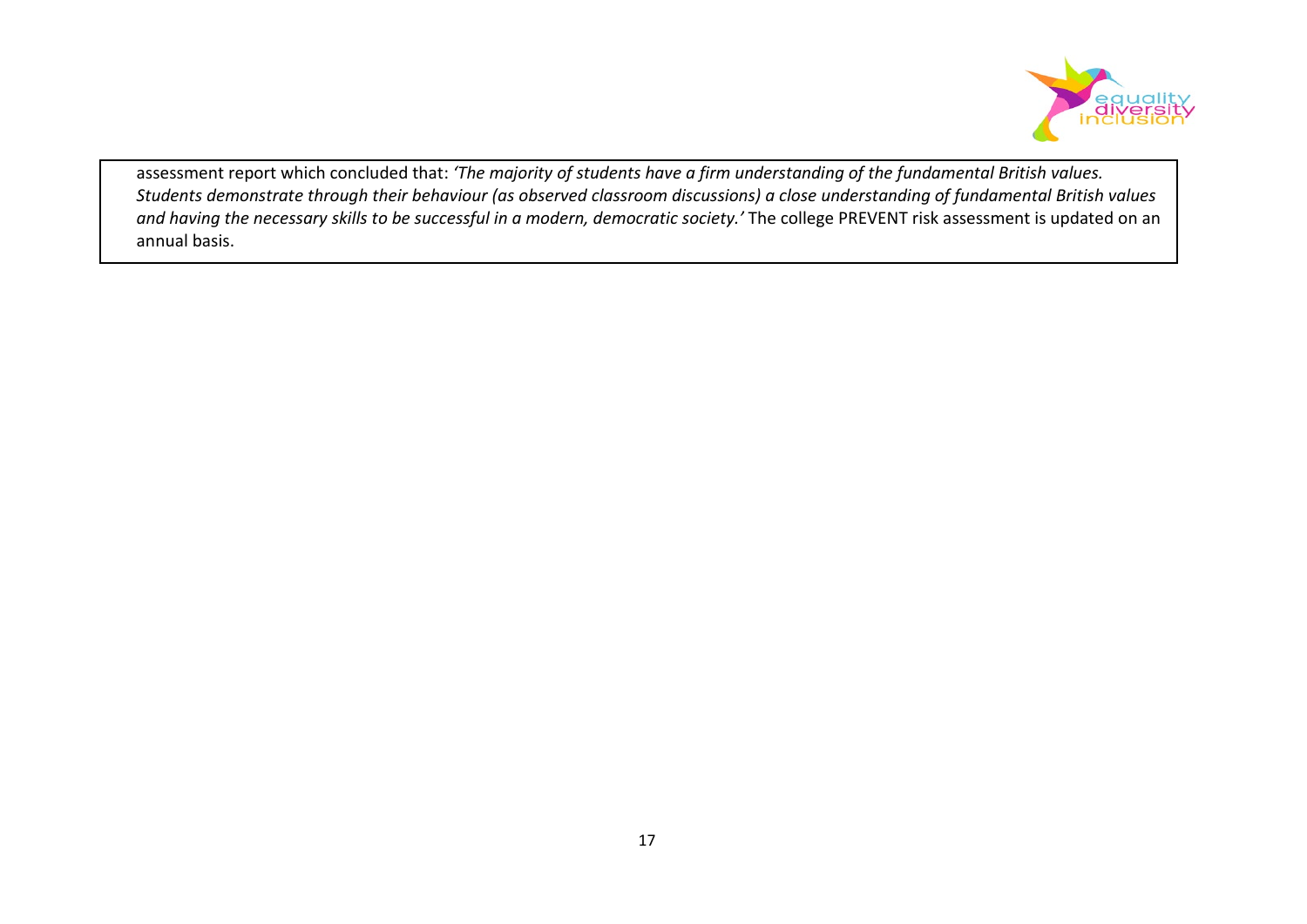

assessment report which concluded that: *'The majority of students have a firm understanding of the fundamental British values. Students demonstrate through their behaviour (as observed classroom discussions) a close understanding of fundamental British values*  and having the necessary skills to be successful in a modern, democratic society.' The college PREVENT risk assessment is updated on an annual basis.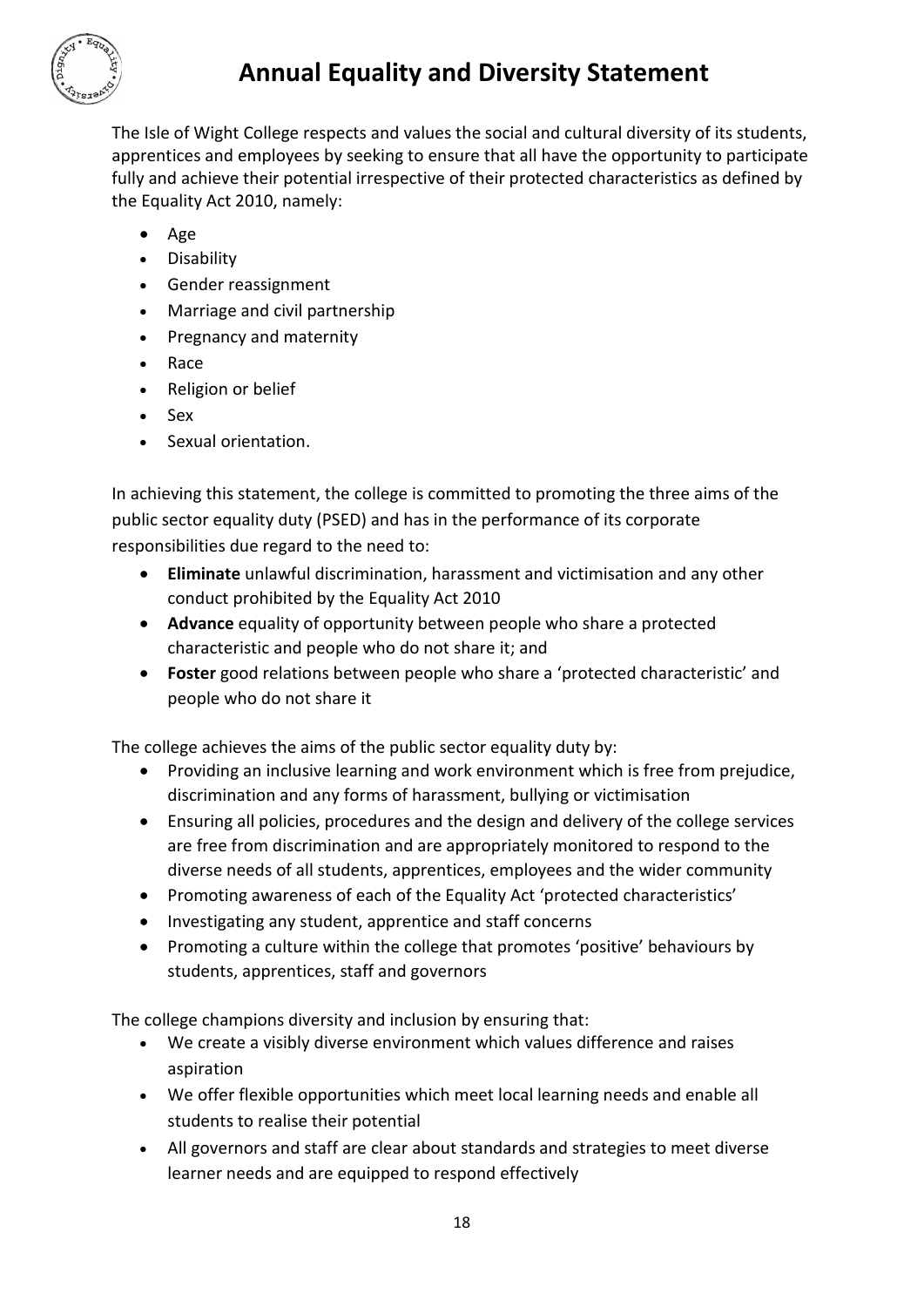

# **Annual Equality and Diversity Statement**

The Isle of Wight College respects and values the social and cultural diversity of its students, apprentices and employees by seeking to ensure that all have the opportunity to participate fully and achieve their potential irrespective of their protected characteristics as defined by the Equality Act 2010, namely:

- Age
- Disability
- Gender reassignment
- Marriage and civil partnership
- Pregnancy and maternity
- Race
- Religion or belief
- Sex
- Sexual orientation.

In achieving this statement, the college is committed to promoting the three aims of the public sector equality duty (PSED) and has in the performance of its corporate responsibilities due regard to the need to:

- **Eliminate** unlawful discrimination, harassment and victimisation and any other conduct prohibited by the Equality Act 2010
- **Advance** equality of opportunity between people who share a protected characteristic and people who do not share it; and
- **Foster** good relations between people who share a 'protected characteristic' and people who do not share it

The college achieves the aims of the public sector equality duty by:

- Providing an inclusive learning and work environment which is free from prejudice, discrimination and any forms of harassment, bullying or victimisation
- Ensuring all policies, procedures and the design and delivery of the college services are free from discrimination and are appropriately monitored to respond to the diverse needs of all students, apprentices, employees and the wider community
- Promoting awareness of each of the Equality Act 'protected characteristics'
- Investigating any student, apprentice and staff concerns
- Promoting a culture within the college that promotes 'positive' behaviours by students, apprentices, staff and governors

The college champions diversity and inclusion by ensuring that:

- We create a visibly diverse environment which values difference and raises aspiration
- We offer flexible opportunities which meet local learning needs and enable all students to realise their potential
- All governors and staff are clear about standards and strategies to meet diverse learner needs and are equipped to respond effectively